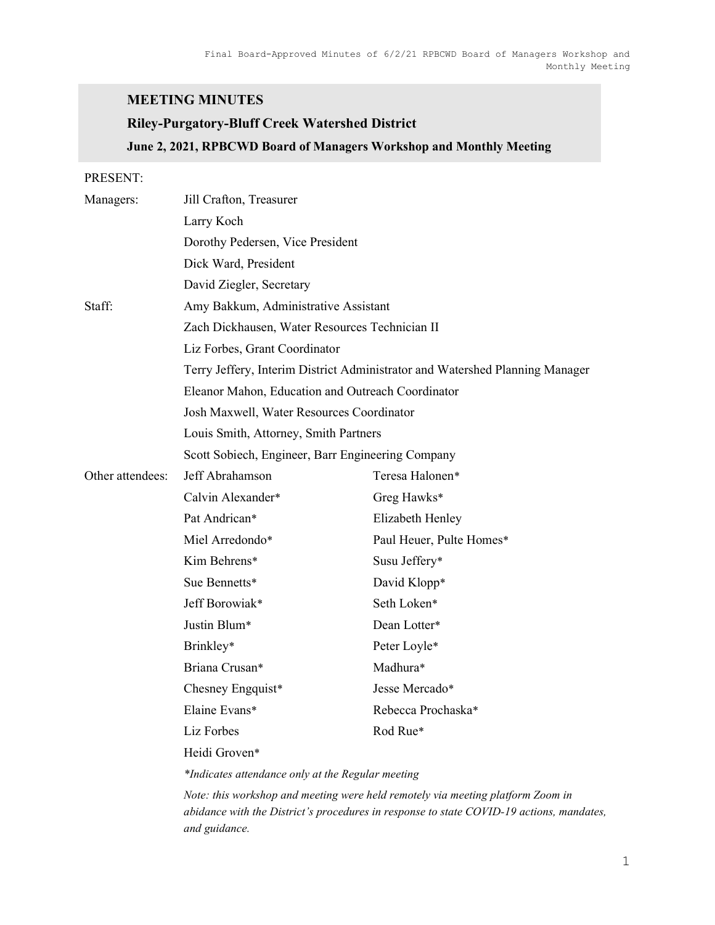## MEETING MINUTES

# Riley-Purgatory-Bluff Creek Watershed District June 2, 2021, RPBCWD Board of Managers Workshop and Monthly Meeting

PRESENT:

| Managers:        | Jill Crafton, Treasurer                           |                                                                              |  |
|------------------|---------------------------------------------------|------------------------------------------------------------------------------|--|
|                  | Larry Koch                                        |                                                                              |  |
|                  | Dorothy Pedersen, Vice President                  |                                                                              |  |
|                  | Dick Ward, President                              |                                                                              |  |
|                  | David Ziegler, Secretary                          |                                                                              |  |
| Staff:           | Amy Bakkum, Administrative Assistant              |                                                                              |  |
|                  | Zach Dickhausen, Water Resources Technician II    |                                                                              |  |
|                  | Liz Forbes, Grant Coordinator                     |                                                                              |  |
|                  |                                                   | Terry Jeffery, Interim District Administrator and Watershed Planning Manager |  |
|                  | Eleanor Mahon, Education and Outreach Coordinator |                                                                              |  |
|                  | Josh Maxwell, Water Resources Coordinator         |                                                                              |  |
|                  | Louis Smith, Attorney, Smith Partners             |                                                                              |  |
|                  | Scott Sobiech, Engineer, Barr Engineering Company |                                                                              |  |
| Other attendees: | Jeff Abrahamson                                   | Teresa Halonen*                                                              |  |
|                  | Calvin Alexander*                                 | Greg Hawks*                                                                  |  |
|                  | Pat Andrican*                                     | Elizabeth Henley                                                             |  |
|                  | Miel Arredondo*                                   | Paul Heuer, Pulte Homes*                                                     |  |
|                  | Kim Behrens*                                      | Susu Jeffery*                                                                |  |
|                  | Sue Bennetts*                                     | David Klopp*                                                                 |  |
|                  | Jeff Borowiak*                                    | Seth Loken*                                                                  |  |
|                  | Justin Blum*                                      | Dean Lotter*                                                                 |  |
|                  | Brinkley*                                         | Peter Loyle*                                                                 |  |
|                  | Briana Crusan*                                    | Madhura*                                                                     |  |
|                  | Chesney Engquist*                                 | Jesse Mercado*                                                               |  |
|                  | Elaine Evans*                                     | Rebecca Prochaska*                                                           |  |
|                  | Liz Forbes                                        | Rod Rue*                                                                     |  |
|                  | Heidi Groven*                                     |                                                                              |  |
|                  |                                                   |                                                                              |  |

\*Indicates attendance only at the Regular meeting

Note: this workshop and meeting were held remotely via meeting platform Zoom in abidance with the District's procedures in response to state COVID-19 actions, mandates, and guidance.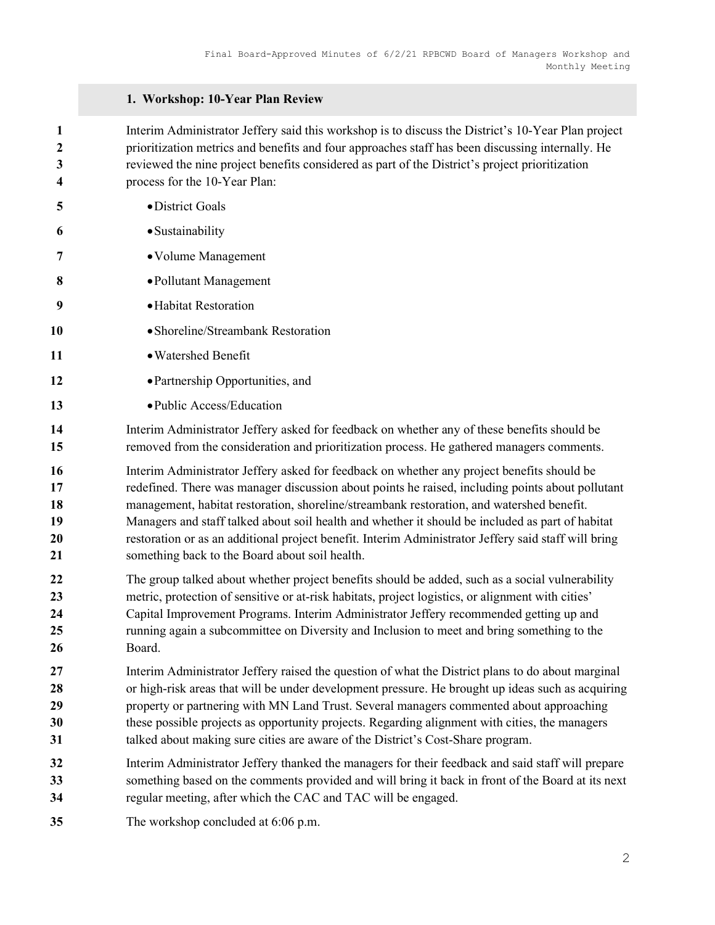## 1. Workshop: 10-Year Plan Review

Interim Administrator Jeffery said this workshop is to discuss the District's 10-Year Plan project prioritization metrics and benefits and four approaches staff has been discussing internally. He reviewed the nine project benefits considered as part of the District's project prioritization process for the 10-Year Plan:

| 5                                | · District Goals                                                                                                                                                                                                                                                                                                                                                                                                                                                                                                                                          |
|----------------------------------|-----------------------------------------------------------------------------------------------------------------------------------------------------------------------------------------------------------------------------------------------------------------------------------------------------------------------------------------------------------------------------------------------------------------------------------------------------------------------------------------------------------------------------------------------------------|
| 6                                | · Sustainability                                                                                                                                                                                                                                                                                                                                                                                                                                                                                                                                          |
| 7                                | • Volume Management                                                                                                                                                                                                                                                                                                                                                                                                                                                                                                                                       |
| 8                                | • Pollutant Management                                                                                                                                                                                                                                                                                                                                                                                                                                                                                                                                    |
| 9                                | · Habitat Restoration                                                                                                                                                                                                                                                                                                                                                                                                                                                                                                                                     |
| 10                               | • Shoreline/Streambank Restoration                                                                                                                                                                                                                                                                                                                                                                                                                                                                                                                        |
| 11                               | · Watershed Benefit                                                                                                                                                                                                                                                                                                                                                                                                                                                                                                                                       |
| 12                               | • Partnership Opportunities, and                                                                                                                                                                                                                                                                                                                                                                                                                                                                                                                          |
| 13                               | • Public Access/Education                                                                                                                                                                                                                                                                                                                                                                                                                                                                                                                                 |
| 14<br>15                         | Interim Administrator Jeffery asked for feedback on whether any of these benefits should be<br>removed from the consideration and prioritization process. He gathered managers comments.                                                                                                                                                                                                                                                                                                                                                                  |
| 16<br>17<br>18<br>19<br>20<br>21 | Interim Administrator Jeffery asked for feedback on whether any project benefits should be<br>redefined. There was manager discussion about points he raised, including points about pollutant<br>management, habitat restoration, shoreline/streambank restoration, and watershed benefit.<br>Managers and staff talked about soil health and whether it should be included as part of habitat<br>restoration or as an additional project benefit. Interim Administrator Jeffery said staff will bring<br>something back to the Board about soil health. |
| 22<br>23<br>24<br>25<br>26       | The group talked about whether project benefits should be added, such as a social vulnerability<br>metric, protection of sensitive or at-risk habitats, project logistics, or alignment with cities'<br>Capital Improvement Programs. Interim Administrator Jeffery recommended getting up and<br>running again a subcommittee on Diversity and Inclusion to meet and bring something to the<br>Board.                                                                                                                                                    |
| 27<br>28<br>29<br>30<br>31       | Interim Administrator Jeffery raised the question of what the District plans to do about marginal<br>or high-risk areas that will be under development pressure. He brought up ideas such as acquiring<br>property or partnering with MN Land Trust. Several managers commented about approaching<br>these possible projects as opportunity projects. Regarding alignment with cities, the managers<br>talked about making sure cities are aware of the District's Cost-Share program.                                                                    |
| 32<br>33<br>34                   | Interim Administrator Jeffery thanked the managers for their feedback and said staff will prepare<br>something based on the comments provided and will bring it back in front of the Board at its next<br>regular meeting, after which the CAC and TAC will be engaged.                                                                                                                                                                                                                                                                                   |
| 35                               | The workshop concluded at 6:06 p.m.                                                                                                                                                                                                                                                                                                                                                                                                                                                                                                                       |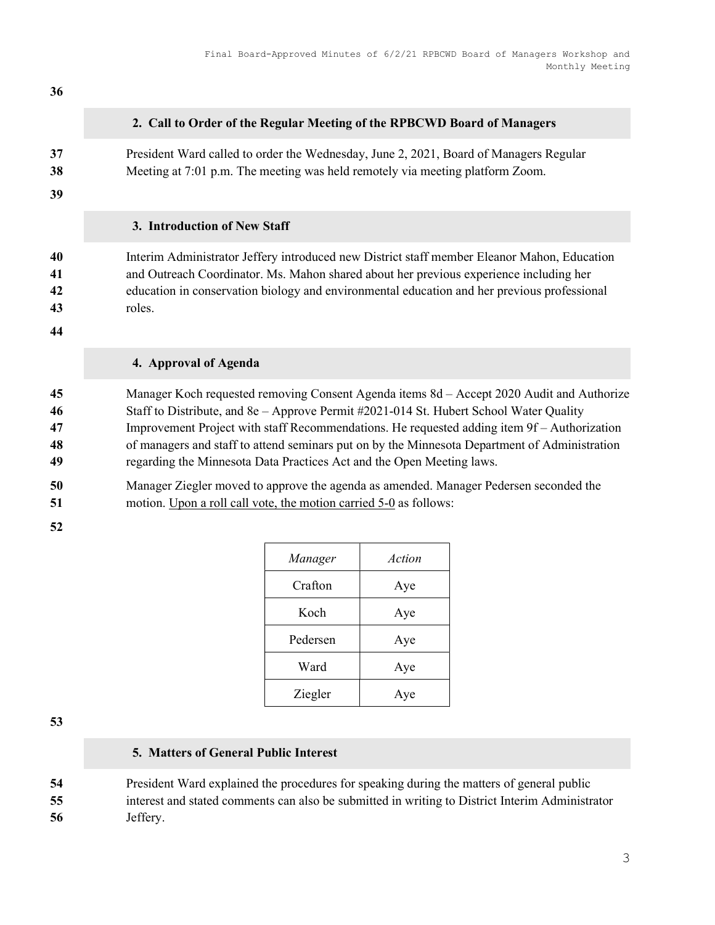# 

#### 2. Call to Order of the Regular Meeting of the RPBCWD Board of Managers

President Ward called to order the Wednesday, June 2, 2021, Board of Managers Regular Meeting at 7:01 p.m. The meeting was held remotely via meeting platform Zoom.

#### 3. Introduction of New Staff

Interim Administrator Jeffery introduced new District staff member Eleanor Mahon, Education and Outreach Coordinator. Ms. Mahon shared about her previous experience including her education in conservation biology and environmental education and her previous professional roles.

## 4. Approval of Agenda

Manager Koch requested removing Consent Agenda items 8d – Accept 2020 Audit and Authorize Staff to Distribute, and 8e – Approve Permit #2021-014 St. Hubert School Water Quality Improvement Project with staff Recommendations. He requested adding item 9f – Authorization of managers and staff to attend seminars put on by the Minnesota Department of Administration regarding the Minnesota Data Practices Act and the Open Meeting laws.

Manager Ziegler moved to approve the agenda as amended. Manager Pedersen seconded the motion. Upon a roll call vote, the motion carried 5-0 as follows:

| Manager  | Action |
|----------|--------|
| Crafton  | Aye    |
| Koch     | Aye    |
| Pedersen | Aye    |
| Ward     | Aye    |
| Ziegler  | Aye    |

## 5. Matters of General Public Interest

President Ward explained the procedures for speaking during the matters of general public interest and stated comments can also be submitted in writing to District Interim Administrator Jeffery.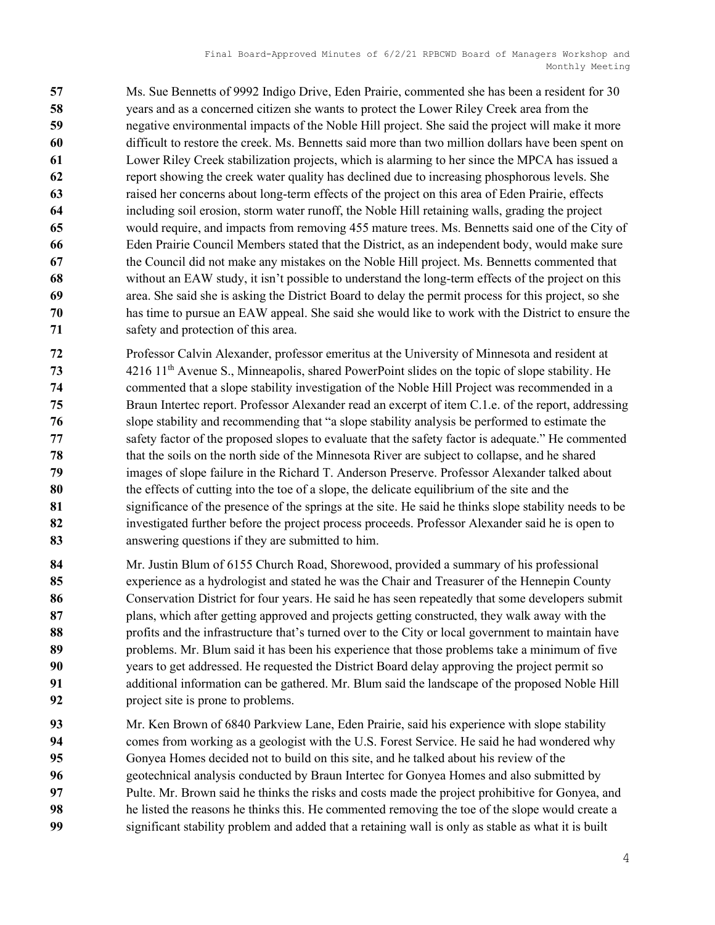Ms. Sue Bennetts of 9992 Indigo Drive, Eden Prairie, commented she has been a resident for 30 years and as a concerned citizen she wants to protect the Lower Riley Creek area from the negative environmental impacts of the Noble Hill project. She said the project will make it more difficult to restore the creek. Ms. Bennetts said more than two million dollars have been spent on Lower Riley Creek stabilization projects, which is alarming to her since the MPCA has issued a report showing the creek water quality has declined due to increasing phosphorous levels. She raised her concerns about long-term effects of the project on this area of Eden Prairie, effects including soil erosion, storm water runoff, the Noble Hill retaining walls, grading the project would require, and impacts from removing 455 mature trees. Ms. Bennetts said one of the City of Eden Prairie Council Members stated that the District, as an independent body, would make sure the Council did not make any mistakes on the Noble Hill project. Ms. Bennetts commented that without an EAW study, it isn't possible to understand the long-term effects of the project on this area. She said she is asking the District Board to delay the permit process for this project, so she has time to pursue an EAW appeal. She said she would like to work with the District to ensure the safety and protection of this area.

- Professor Calvin Alexander, professor emeritus at the University of Minnesota and resident at 4216 11<sup>th</sup> Avenue S., Minneapolis, shared PowerPoint slides on the topic of slope stability. He commented that a slope stability investigation of the Noble Hill Project was recommended in a Braun Intertec report. Professor Alexander read an excerpt of item C.1.e. of the report, addressing slope stability and recommending that "a slope stability analysis be performed to estimate the safety factor of the proposed slopes to evaluate that the safety factor is adequate." He commented that the soils on the north side of the Minnesota River are subject to collapse, and he shared images of slope failure in the Richard T. Anderson Preserve. Professor Alexander talked about the effects of cutting into the toe of a slope, the delicate equilibrium of the site and the significance of the presence of the springs at the site. He said he thinks slope stability needs to be investigated further before the project process proceeds. Professor Alexander said he is open to answering questions if they are submitted to him.
- 84 Mr. Justin Blum of 6155 Church Road, Shorewood, provided a summary of his professional 85 experience as a hydrologist and stated he was the Chair and Treasurer of the Hennepin County 86 Conservation District for four years. He said he has seen repeatedly that some developers submit plans, which after getting approved and projects getting constructed, they walk away with the 88 profits and the infrastructure that's turned over to the City or local government to maintain have problems. Mr. Blum said it has been his experience that those problems take a minimum of five years to get addressed. He requested the District Board delay approving the project permit so additional information can be gathered. Mr. Blum said the landscape of the proposed Noble Hill 92 project site is prone to problems.
- Mr. Ken Brown of 6840 Parkview Lane, Eden Prairie, said his experience with slope stability comes from working as a geologist with the U.S. Forest Service. He said he had wondered why Gonyea Homes decided not to build on this site, and he talked about his review of the geotechnical analysis conducted by Braun Intertec for Gonyea Homes and also submitted by Pulte. Mr. Brown said he thinks the risks and costs made the project prohibitive for Gonyea, and he listed the reasons he thinks this. He commented removing the toe of the slope would create a significant stability problem and added that a retaining wall is only as stable as what it is built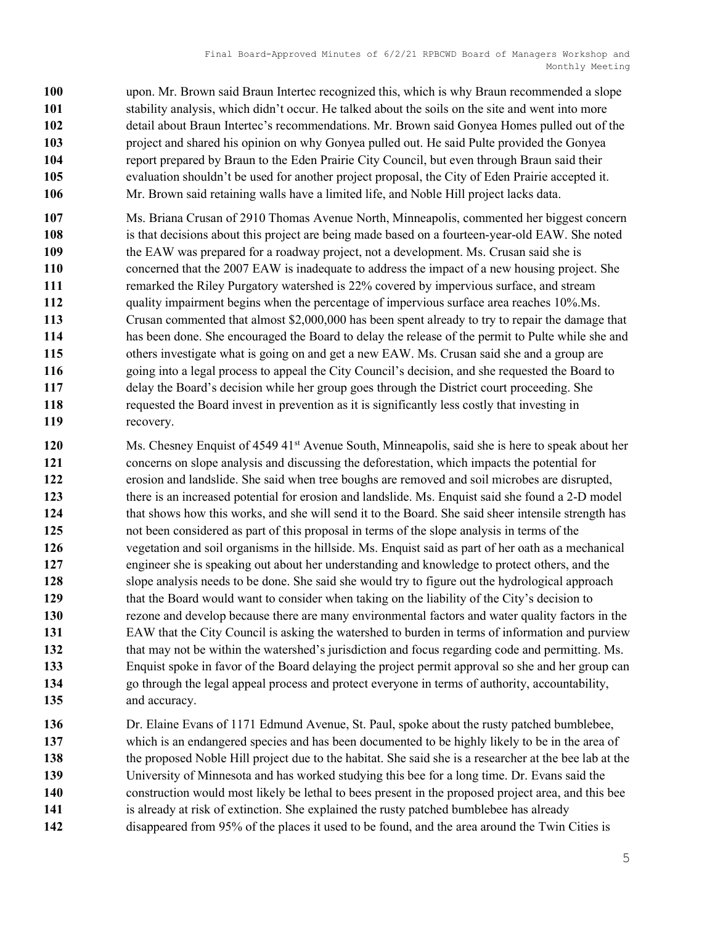upon. Mr. Brown said Braun Intertec recognized this, which is why Braun recommended a slope stability analysis, which didn't occur. He talked about the soils on the site and went into more detail about Braun Intertec's recommendations. Mr. Brown said Gonyea Homes pulled out of the project and shared his opinion on why Gonyea pulled out. He said Pulte provided the Gonyea report prepared by Braun to the Eden Prairie City Council, but even through Braun said their evaluation shouldn't be used for another project proposal, the City of Eden Prairie accepted it. Mr. Brown said retaining walls have a limited life, and Noble Hill project lacks data.

Ms. Briana Crusan of 2910 Thomas Avenue North, Minneapolis, commented her biggest concern 108 is that decisions about this project are being made based on a fourteen-year-old EAW. She noted the EAW was prepared for a roadway project, not a development. Ms. Crusan said she is concerned that the 2007 EAW is inadequate to address the impact of a new housing project. She **remarked the Riley Purgatory watershed is 22% covered by impervious surface, and stream** 112 quality impairment begins when the percentage of impervious surface area reaches 10%.Ms. Crusan commented that almost \$2,000,000 has been spent already to try to repair the damage that has been done. She encouraged the Board to delay the release of the permit to Pulte while she and others investigate what is going on and get a new EAW. Ms. Crusan said she and a group are going into a legal process to appeal the City Council's decision, and she requested the Board to delay the Board's decision while her group goes through the District court proceeding. She requested the Board invest in prevention as it is significantly less costly that investing in recovery.

120 Ms. Chesney Enquist of 4549 41<sup>st</sup> Avenue South, Minneapolis, said she is here to speak about her concerns on slope analysis and discussing the deforestation, which impacts the potential for erosion and landslide. She said when tree boughs are removed and soil microbes are disrupted, 123 there is an increased potential for erosion and landslide. Ms. Enquist said she found a 2-D model 124 that shows how this works, and she will send it to the Board. She said sheer intensile strength has not been considered as part of this proposal in terms of the slope analysis in terms of the vegetation and soil organisms in the hillside. Ms. Enquist said as part of her oath as a mechanical engineer she is speaking out about her understanding and knowledge to protect others, and the slope analysis needs to be done. She said she would try to figure out the hydrological approach that the Board would want to consider when taking on the liability of the City's decision to rezone and develop because there are many environmental factors and water quality factors in the EAW that the City Council is asking the watershed to burden in terms of information and purview 132 that may not be within the watershed's jurisdiction and focus regarding code and permitting. Ms. Enquist spoke in favor of the Board delaying the project permit approval so she and her group can go through the legal appeal process and protect everyone in terms of authority, accountability, 135 and accuracy.

Dr. Elaine Evans of 1171 Edmund Avenue, St. Paul, spoke about the rusty patched bumblebee, which is an endangered species and has been documented to be highly likely to be in the area of the proposed Noble Hill project due to the habitat. She said she is a researcher at the bee lab at the University of Minnesota and has worked studying this bee for a long time. Dr. Evans said the construction would most likely be lethal to bees present in the proposed project area, and this bee 141 is already at risk of extinction. She explained the rusty patched bumblebee has already 142 disappeared from 95% of the places it used to be found, and the area around the Twin Cities is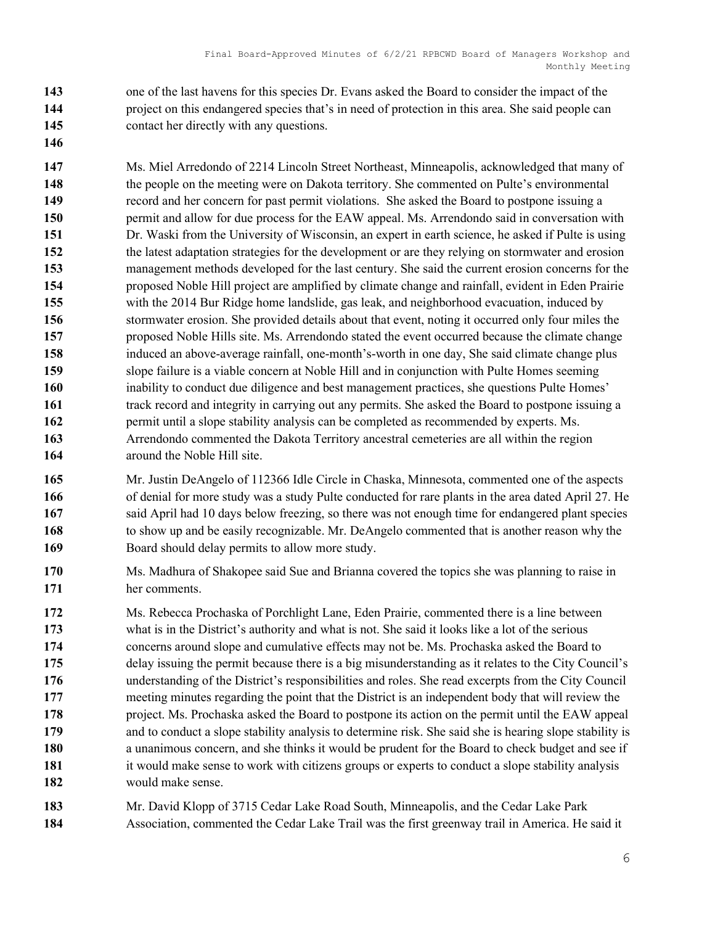one of the last havens for this species Dr. Evans asked the Board to consider the impact of the project on this endangered species that's in need of protection in this area. She said people can contact her directly with any questions.

- Ms. Miel Arredondo of 2214 Lincoln Street Northeast, Minneapolis, acknowledged that many of 148 the people on the meeting were on Dakota territory. She commented on Pulte's environmental record and her concern for past permit violations. She asked the Board to postpone issuing a permit and allow for due process for the EAW appeal. Ms. Arrendondo said in conversation with Dr. Waski from the University of Wisconsin, an expert in earth science, he asked if Pulte is using the latest adaptation strategies for the development or are they relying on stormwater and erosion management methods developed for the last century. She said the current erosion concerns for the proposed Noble Hill project are amplified by climate change and rainfall, evident in Eden Prairie with the 2014 Bur Ridge home landslide, gas leak, and neighborhood evacuation, induced by stormwater erosion. She provided details about that event, noting it occurred only four miles the proposed Noble Hills site. Ms. Arrendondo stated the event occurred because the climate change induced an above-average rainfall, one-month's-worth in one day, She said climate change plus slope failure is a viable concern at Noble Hill and in conjunction with Pulte Homes seeming inability to conduct due diligence and best management practices, she questions Pulte Homes' 161 track record and integrity in carrying out any permits. She asked the Board to postpone issuing a 162 permit until a slope stability analysis can be completed as recommended by experts. Ms. Arrendondo commented the Dakota Territory ancestral cemeteries are all within the region 164 around the Noble Hill site.
- Mr. Justin DeAngelo of 112366 Idle Circle in Chaska, Minnesota, commented one of the aspects 166 of denial for more study was a study Pulte conducted for rare plants in the area dated April 27. He 167 said April had 10 days below freezing, so there was not enough time for endangered plant species 168 to show up and be easily recognizable. Mr. DeAngelo commented that is another reason why the 169 Board should delay permits to allow more study.
- Ms. Madhura of Shakopee said Sue and Brianna covered the topics she was planning to raise in her comments.
- Ms. Rebecca Prochaska of Porchlight Lane, Eden Prairie, commented there is a line between 173 what is in the District's authority and what is not. She said it looks like a lot of the serious concerns around slope and cumulative effects may not be. Ms. Prochaska asked the Board to delay issuing the permit because there is a big misunderstanding as it relates to the City Council's understanding of the District's responsibilities and roles. She read excerpts from the City Council meeting minutes regarding the point that the District is an independent body that will review the 178 project. Ms. Prochaska asked the Board to postpone its action on the permit until the EAW appeal and to conduct a slope stability analysis to determine risk. She said she is hearing slope stability is 180 a unanimous concern, and she thinks it would be prudent for the Board to check budget and see if 181 it would make sense to work with citizens groups or experts to conduct a slope stability analysis would make sense.
- Mr. David Klopp of 3715 Cedar Lake Road South, Minneapolis, and the Cedar Lake Park Association, commented the Cedar Lake Trail was the first greenway trail in America. He said it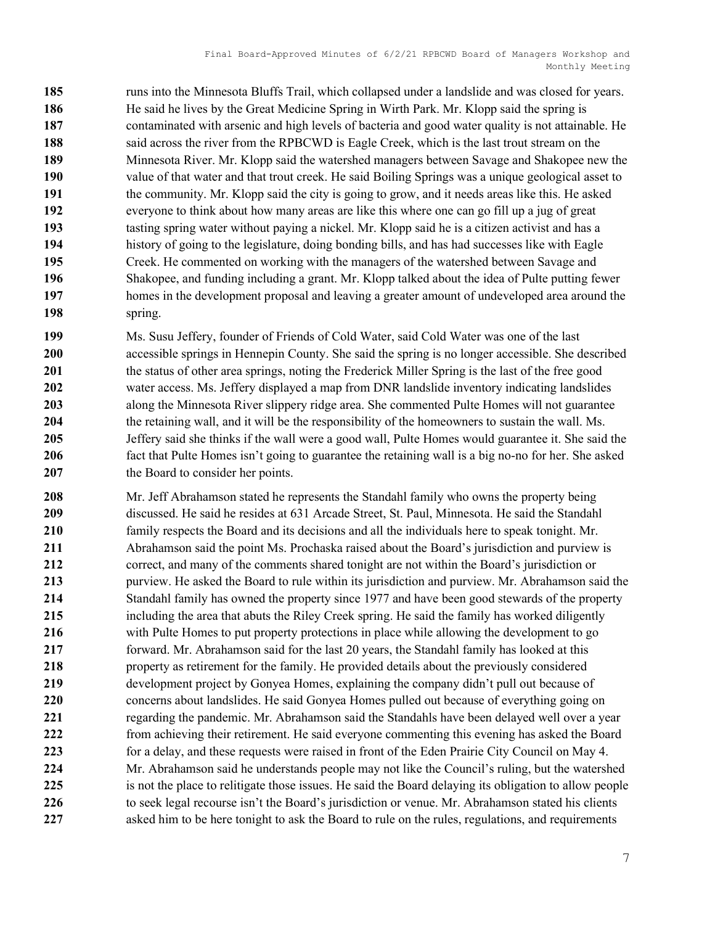185 runs into the Minnesota Bluffs Trail, which collapsed under a landslide and was closed for years. He said he lives by the Great Medicine Spring in Wirth Park. Mr. Klopp said the spring is contaminated with arsenic and high levels of bacteria and good water quality is not attainable. He 188 said across the river from the RPBCWD is Eagle Creek, which is the last trout stream on the Minnesota River. Mr. Klopp said the watershed managers between Savage and Shakopee new the value of that water and that trout creek. He said Boiling Springs was a unique geological asset to the community. Mr. Klopp said the city is going to grow, and it needs areas like this. He asked everyone to think about how many areas are like this where one can go fill up a jug of great 193 tasting spring water without paying a nickel. Mr. Klopp said he is a citizen activist and has a history of going to the legislature, doing bonding bills, and has had successes like with Eagle Creek. He commented on working with the managers of the watershed between Savage and Shakopee, and funding including a grant. Mr. Klopp talked about the idea of Pulte putting fewer homes in the development proposal and leaving a greater amount of undeveloped area around the spring.

Ms. Susu Jeffery, founder of Friends of Cold Water, said Cold Water was one of the last accessible springs in Hennepin County. She said the spring is no longer accessible. She described 201 the status of other area springs, noting the Frederick Miller Spring is the last of the free good 202 water access. Ms. Jeffery displayed a map from DNR landslide inventory indicating landslides 203 along the Minnesota River slippery ridge area. She commented Pulte Homes will not guarantee the retaining wall, and it will be the responsibility of the homeowners to sustain the wall. Ms. Jeffery said she thinks if the wall were a good wall, Pulte Homes would guarantee it. She said the fact that Pulte Homes isn't going to guarantee the retaining wall is a big no-no for her. She asked 207 the Board to consider her points.

208 Mr. Jeff Abrahamson stated he represents the Standahl family who owns the property being discussed. He said he resides at 631 Arcade Street, St. Paul, Minnesota. He said the Standahl family respects the Board and its decisions and all the individuals here to speak tonight. Mr. Abrahamson said the point Ms. Prochaska raised about the Board's jurisdiction and purview is 212 correct, and many of the comments shared tonight are not within the Board's jurisdiction or purview. He asked the Board to rule within its jurisdiction and purview. Mr. Abrahamson said the Standahl family has owned the property since 1977 and have been good stewards of the property including the area that abuts the Riley Creek spring. He said the family has worked diligently with Pulte Homes to put property protections in place while allowing the development to go 217 forward. Mr. Abrahamson said for the last 20 years, the Standahl family has looked at this property as retirement for the family. He provided details about the previously considered development project by Gonyea Homes, explaining the company didn't pull out because of 220 concerns about landslides. He said Gonyea Homes pulled out because of everything going on 221 regarding the pandemic. Mr. Abrahamson said the Standahls have been delayed well over a year from achieving their retirement. He said everyone commenting this evening has asked the Board 223 for a delay, and these requests were raised in front of the Eden Prairie City Council on May 4. Mr. Abrahamson said he understands people may not like the Council's ruling, but the watershed 225 is not the place to relitigate those issues. He said the Board delaying its obligation to allow people 226 to seek legal recourse isn't the Board's jurisdiction or venue. Mr. Abrahamson stated his clients 227 asked him to be here tonight to ask the Board to rule on the rules, regulations, and requirements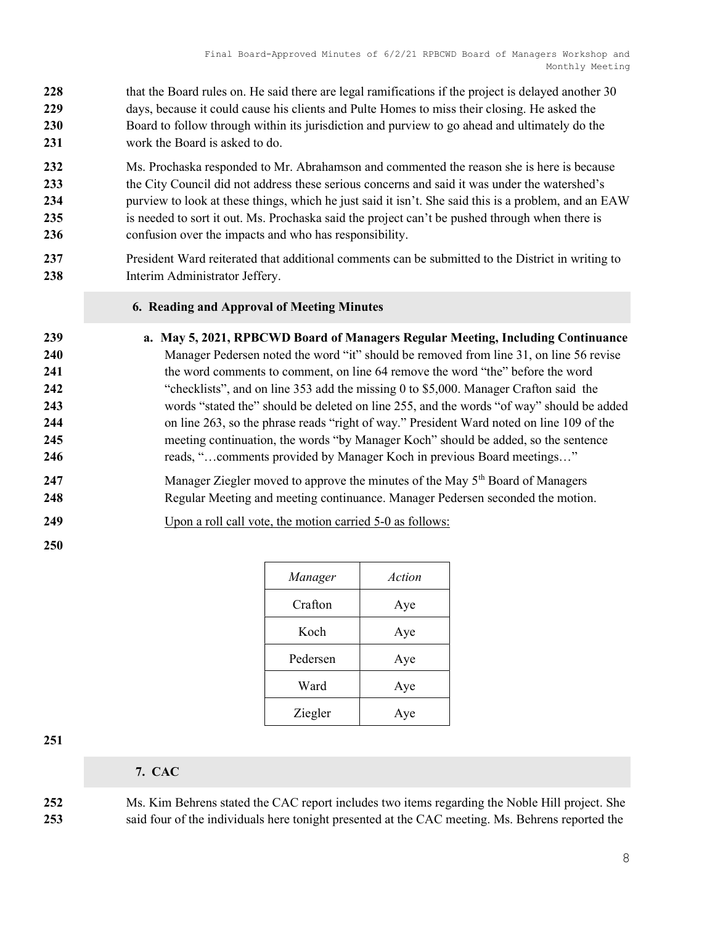- 228 that the Board rules on. He said there are legal ramifications if the project is delayed another 30 229 days, because it could cause his clients and Pulte Homes to miss their closing. He asked the 230 Board to follow through within its jurisdiction and purview to go ahead and ultimately do the 231 work the Board is asked to do.
- 232 Ms. Prochaska responded to Mr. Abrahamson and commented the reason she is here is because 233 the City Council did not address these serious concerns and said it was under the watershed's 234 purview to look at these things, which he just said it isn't. She said this is a problem, and an EAW 235 is needed to sort it out. Ms. Prochaska said the project can't be pushed through when there is 236 confusion over the impacts and who has responsibility.
- 237 President Ward reiterated that additional comments can be submitted to the District in writing to 238 Interim Administrator Jeffery.

#### 6. Reading and Approval of Meeting Minutes

- 239 a. May 5, 2021, RPBCWD Board of Managers Regular Meeting, Including Continuance 240 Manager Pedersen noted the word "it" should be removed from line 31, on line 56 revise 241 the word comments to comment, on line 64 remove the word "the" before the word 242 "checklists", and on line 353 add the missing 0 to \$5,000. Manager Crafton said the 243 words "stated the" should be deleted on line 255, and the words "of way" should be added 244 on line 263, so the phrase reads "right of way." President Ward noted on line 109 of the 245 meeting continuation, the words "by Manager Koch" should be added, so the sentence 246 reads, "...comments provided by Manager Koch in previous Board meetings..."
- 247 Manager Ziegler moved to approve the minutes of the May  $5<sup>th</sup>$  Board of Managers 248 Regular Meeting and meeting continuance. Manager Pedersen seconded the motion.
- 249 Upon a roll call vote, the motion carried 5-0 as follows:
- 250

| Manager  | Action |
|----------|--------|
| Crafton  | Aye    |
| Koch     | Aye    |
| Pedersen | Aye    |
| Ward     | Aye    |
| Ziegler  | Aye    |

251

7. CAC

252 Ms. Kim Behrens stated the CAC report includes two items regarding the Noble Hill project. She 253 said four of the individuals here tonight presented at the CAC meeting. Ms. Behrens reported the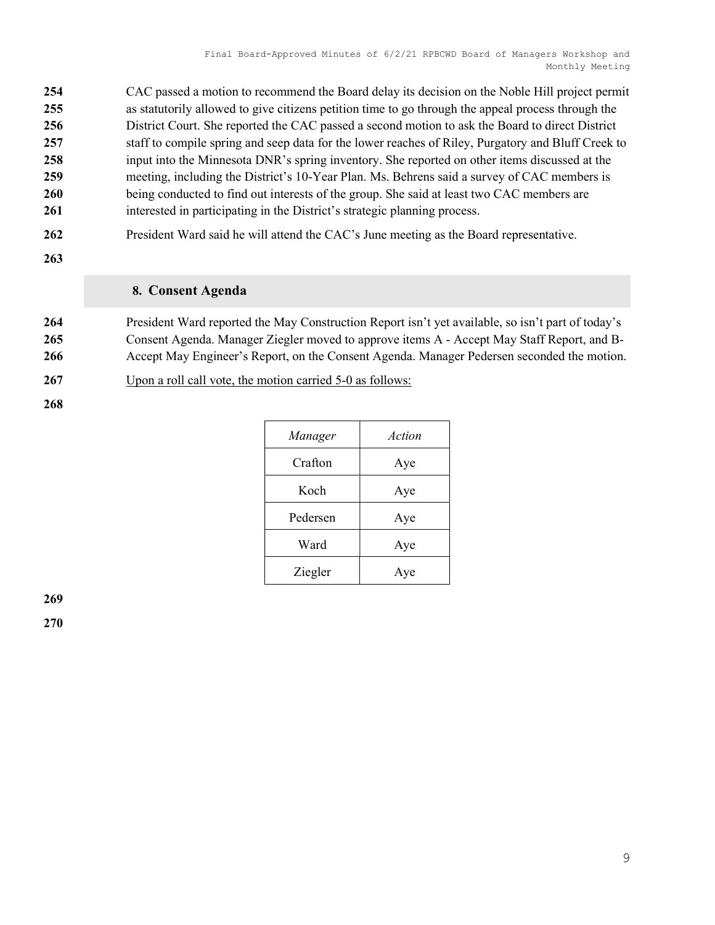| 254 | CAC passed a motion to recommend the Board delay its decision on the Noble Hill project permit     |
|-----|----------------------------------------------------------------------------------------------------|
| 255 | as statutorily allowed to give citizens petition time to go through the appeal process through the |
| 256 | District Court. She reported the CAC passed a second motion to ask the Board to direct District    |
| 257 | staff to compile spring and seep data for the lower reaches of Riley, Purgatory and Bluff Creek to |
| 258 | input into the Minnesota DNR's spring inventory. She reported on other items discussed at the      |
| 259 | meeting, including the District's 10-Year Plan. Ms. Behrens said a survey of CAC members is        |
| 260 | being conducted to find out interests of the group. She said at least two CAC members are          |
| 261 | interested in participating in the District's strategic planning process.                          |
|     |                                                                                                    |

- 262 President Ward said he will attend the CAC's June meeting as the Board representative.
- 263

## 8. Consent Agenda

264 President Ward reported the May Construction Report isn't yet available, so isn't part of today's 265 Consent Agenda. Manager Ziegler moved to approve items A - Accept May Staff Report, and B-266 Accept May Engineer's Report, on the Consent Agenda. Manager Pedersen seconded the motion.

267 Upon a roll call vote, the motion carried 5-0 as follows:

268

| Manager  | Action |
|----------|--------|
| Crafton  | Aye    |
| Koch     | Aye    |
| Pedersen | Aye    |
| Ward     | Aye    |
| Ziegler  | Aye    |

269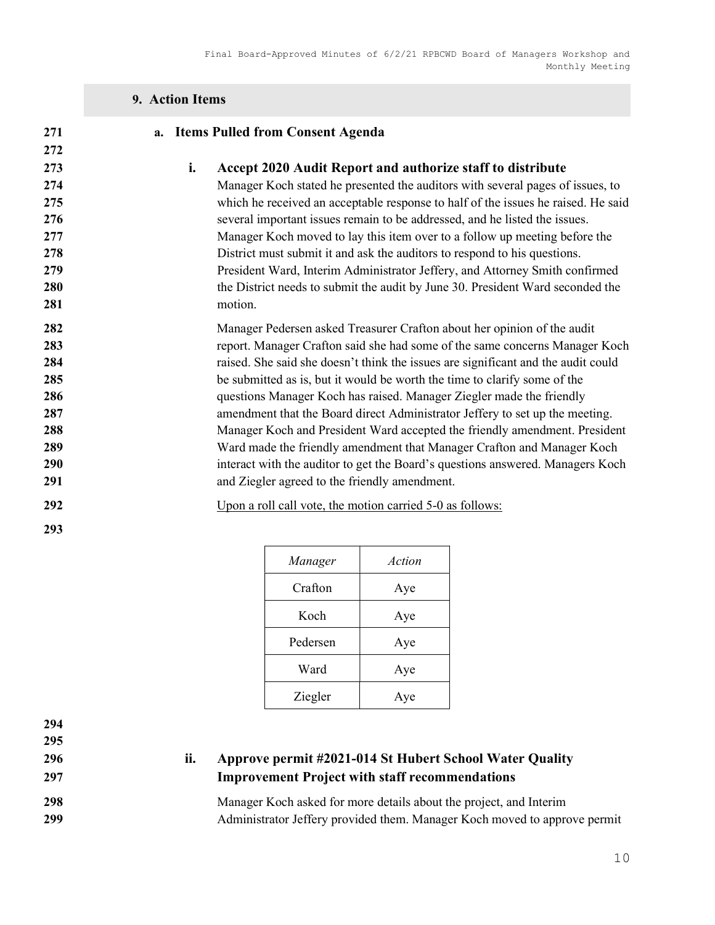## 9. Action Items

| 271                                                                |    | a. Items Pulled from Consent Agenda                                                                                                                                                                                                                                                                                                                                                                                                                                                                                                                                                                                                                                                                                                                                         |
|--------------------------------------------------------------------|----|-----------------------------------------------------------------------------------------------------------------------------------------------------------------------------------------------------------------------------------------------------------------------------------------------------------------------------------------------------------------------------------------------------------------------------------------------------------------------------------------------------------------------------------------------------------------------------------------------------------------------------------------------------------------------------------------------------------------------------------------------------------------------------|
| 272<br>273<br>274<br>275<br>276<br>277<br>278<br>279<br>280<br>281 | i. | Accept 2020 Audit Report and authorize staff to distribute<br>Manager Koch stated he presented the auditors with several pages of issues, to<br>which he received an acceptable response to half of the issues he raised. He said<br>several important issues remain to be addressed, and he listed the issues.<br>Manager Koch moved to lay this item over to a follow up meeting before the<br>District must submit it and ask the auditors to respond to his questions.<br>President Ward, Interim Administrator Jeffery, and Attorney Smith confirmed<br>the District needs to submit the audit by June 30. President Ward seconded the<br>motion.                                                                                                                      |
| 282<br>283<br>284<br>285<br>286<br>287<br>288<br>289<br>290<br>291 |    | Manager Pedersen asked Treasurer Crafton about her opinion of the audit<br>report. Manager Crafton said she had some of the same concerns Manager Koch<br>raised. She said she doesn't think the issues are significant and the audit could<br>be submitted as is, but it would be worth the time to clarify some of the<br>questions Manager Koch has raised. Manager Ziegler made the friendly<br>amendment that the Board direct Administrator Jeffery to set up the meeting.<br>Manager Koch and President Ward accepted the friendly amendment. President<br>Ward made the friendly amendment that Manager Crafton and Manager Koch<br>interact with the auditor to get the Board's questions answered. Managers Koch<br>and Ziegler agreed to the friendly amendment. |
| 292<br>293                                                         |    | Upon a roll call vote, the motion carried 5-0 as follows:                                                                                                                                                                                                                                                                                                                                                                                                                                                                                                                                                                                                                                                                                                                   |

| Manager  | Action |
|----------|--------|
| Crafton  | Aye    |
| Koch     | Aye    |
| Pedersen | Aye    |
| Ward     | Aye    |
| Ziegler  | Aye    |

294

295

# 296 ii. Approve permit #2021-014 St Hubert School Water Quality 297 Improvement Project with staff recommendations

298 Manager Koch asked for more details about the project, and Interim 299 Administrator Jeffery provided them. Manager Koch moved to approve permit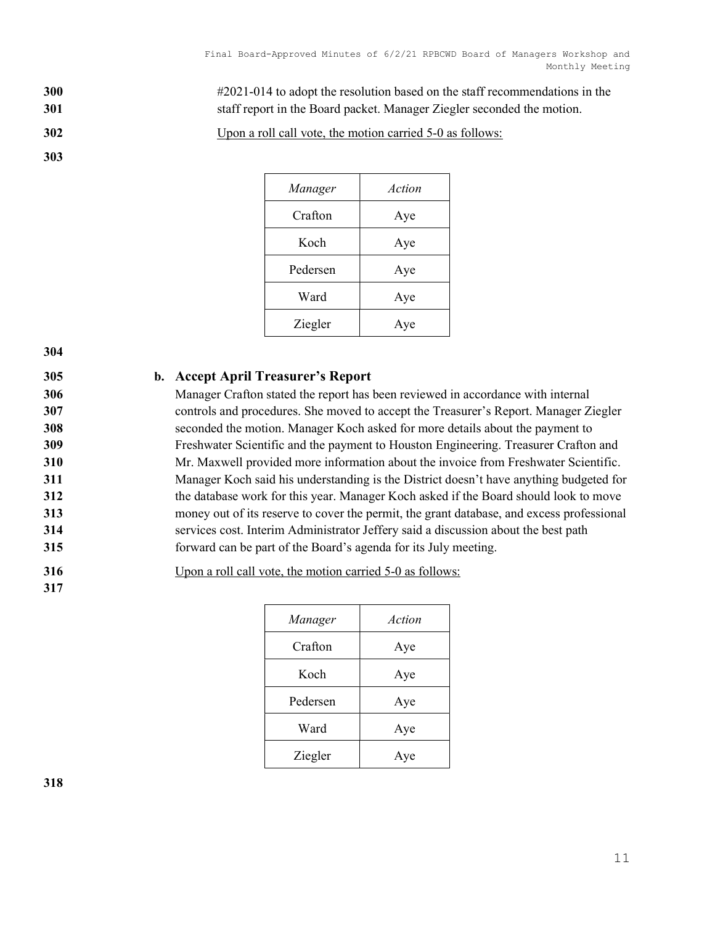300 #2021-014 to adopt the resolution based on the staff recommendations in the 301 staff report in the Board packet. Manager Ziegler seconded the motion.

302 Upon a roll call vote, the motion carried 5-0 as follows:

303

| Manager  | Action |
|----------|--------|
| Crafton  | Aye    |
| Koch     | Aye    |
| Pedersen | Aye    |
| Ward     | Aye    |
| Ziegler  | Aye    |

304

#### 305 b. Accept April Treasurer's Report

Manager Crafton stated the report has been reviewed in accordance with internal controls and procedures. She moved to accept the Treasurer's Report. Manager Ziegler seconded the motion. Manager Koch asked for more details about the payment to Freshwater Scientific and the payment to Houston Engineering. Treasurer Crafton and Mr. Maxwell provided more information about the invoice from Freshwater Scientific. Manager Koch said his understanding is the District doesn't have anything budgeted for the database work for this year. Manager Koch asked if the Board should look to move money out of its reserve to cover the permit, the grant database, and excess professional services cost. Interim Administrator Jeffery said a discussion about the best path forward can be part of the Board's agenda for its July meeting.

316 Upon a roll call vote, the motion carried 5-0 as follows:

| Manager  | Action |
|----------|--------|
| Crafton  | Aye    |
| Koch     | Aye    |
| Pedersen | Aye    |
| Ward     | Aye    |
| Ziegler  | Aye    |

318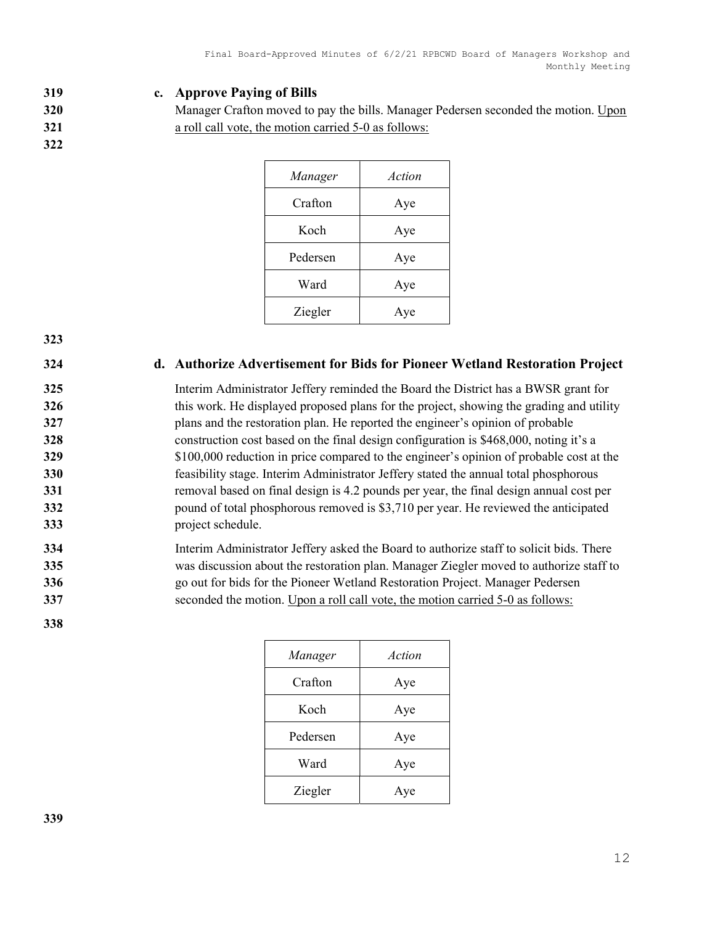#### 319 c. Approve Paying of Bills

320 Manager Crafton moved to pay the bills. Manager Pedersen seconded the motion. Upon 321 **a** roll call vote, the motion carried 5-0 as follows:

| Manager  | Action |
|----------|--------|
| Crafton  | Aye    |
| Koch     | Aye    |
| Pedersen | Aye    |
| Ward     | Aye    |
| Ziegler  | Aye    |

#### 323

322

#### 324 d. Authorize Advertisement for Bids for Pioneer Wetland Restoration Project

Interim Administrator Jeffery reminded the Board the District has a BWSR grant for 326 this work. He displayed proposed plans for the project, showing the grading and utility plans and the restoration plan. He reported the engineer's opinion of probable construction cost based on the final design configuration is \$468,000, noting it's a 329 \$100,000 reduction in price compared to the engineer's opinion of probable cost at the feasibility stage. Interim Administrator Jeffery stated the annual total phosphorous **removal based on final design is 4.2 pounds per year, the final design annual cost per** 332 pound of total phosphorous removed is \$3,710 per year. He reviewed the anticipated project schedule.

## 334 Interim Administrator Jeffery asked the Board to authorize staff to solicit bids. There 335 was discussion about the restoration plan. Manager Ziegler moved to authorize staff to 336 go out for bids for the Pioneer Wetland Restoration Project. Manager Pedersen 337 seconded the motion. Upon a roll call vote, the motion carried 5-0 as follows:

| Manager  | Action |
|----------|--------|
| Crafton  | Aye    |
| Koch     | Aye    |
| Pedersen | Aye    |
| Ward     | Aye    |
| Ziegler  | Ave    |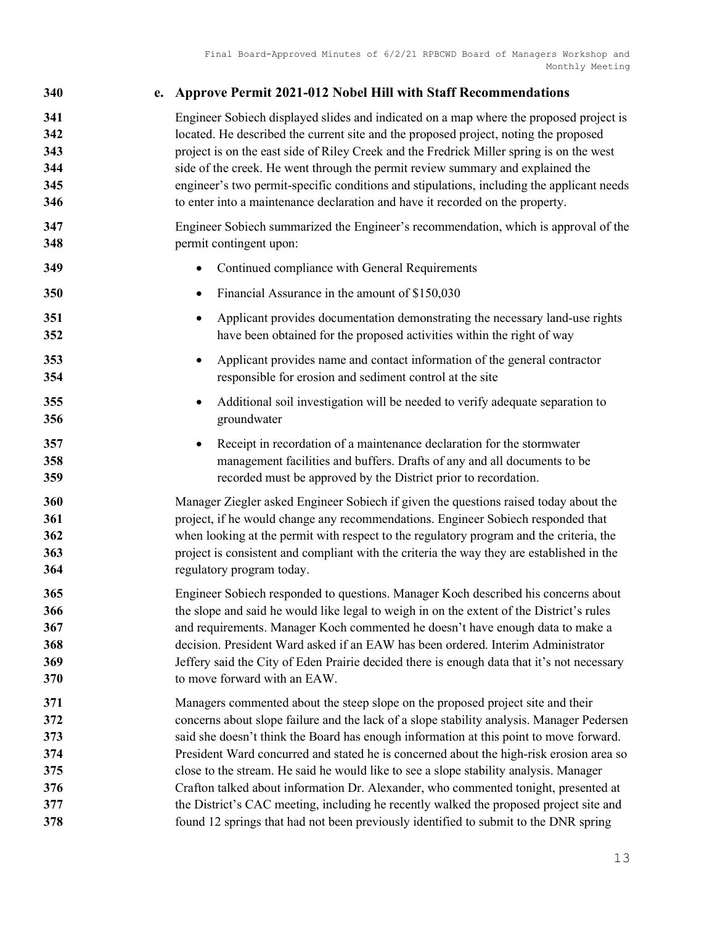| 340 | e. Approve Permit 2021-012 Nobel Hill with Staff Recommendations                           |
|-----|--------------------------------------------------------------------------------------------|
| 341 | Engineer Sobiech displayed slides and indicated on a map where the proposed project is     |
| 342 | located. He described the current site and the proposed project, noting the proposed       |
| 343 | project is on the east side of Riley Creek and the Fredrick Miller spring is on the west   |
| 344 | side of the creek. He went through the permit review summary and explained the             |
| 345 | engineer's two permit-specific conditions and stipulations, including the applicant needs  |
| 346 | to enter into a maintenance declaration and have it recorded on the property.              |
| 347 | Engineer Sobiech summarized the Engineer's recommendation, which is approval of the        |
| 348 | permit contingent upon:                                                                    |
| 349 | Continued compliance with General Requirements                                             |
| 350 | Financial Assurance in the amount of \$150,030                                             |
| 351 | Applicant provides documentation demonstrating the necessary land-use rights               |
| 352 | have been obtained for the proposed activities within the right of way                     |
| 353 | Applicant provides name and contact information of the general contractor                  |
| 354 | responsible for erosion and sediment control at the site                                   |
| 355 | Additional soil investigation will be needed to verify adequate separation to              |
| 356 | groundwater                                                                                |
| 357 | Receipt in recordation of a maintenance declaration for the stormwater                     |
| 358 | management facilities and buffers. Drafts of any and all documents to be                   |
| 359 | recorded must be approved by the District prior to recordation.                            |
| 360 | Manager Ziegler asked Engineer Sobiech if given the questions raised today about the       |
| 361 | project, if he would change any recommendations. Engineer Sobiech responded that           |
| 362 | when looking at the permit with respect to the regulatory program and the criteria, the    |
| 363 | project is consistent and compliant with the criteria the way they are established in the  |
| 364 | regulatory program today.                                                                  |
| 365 | Engineer Sobiech responded to questions. Manager Koch described his concerns about         |
| 366 | the slope and said he would like legal to weigh in on the extent of the District's rules   |
| 367 | and requirements. Manager Koch commented he doesn't have enough data to make a             |
| 368 | decision. President Ward asked if an EAW has been ordered. Interim Administrator           |
| 369 | Jeffery said the City of Eden Prairie decided there is enough data that it's not necessary |
| 370 | to move forward with an EAW.                                                               |
| 371 | Managers commented about the steep slope on the proposed project site and their            |
| 372 | concerns about slope failure and the lack of a slope stability analysis. Manager Pedersen  |
| 373 | said she doesn't think the Board has enough information at this point to move forward.     |
| 374 | President Ward concurred and stated he is concerned about the high-risk erosion area so    |
| 375 | close to the stream. He said he would like to see a slope stability analysis. Manager      |
| 376 | Crafton talked about information Dr. Alexander, who commented tonight, presented at        |
| 377 | the District's CAC meeting, including he recently walked the proposed project site and     |
| 378 | found 12 springs that had not been previously identified to submit to the DNR spring       |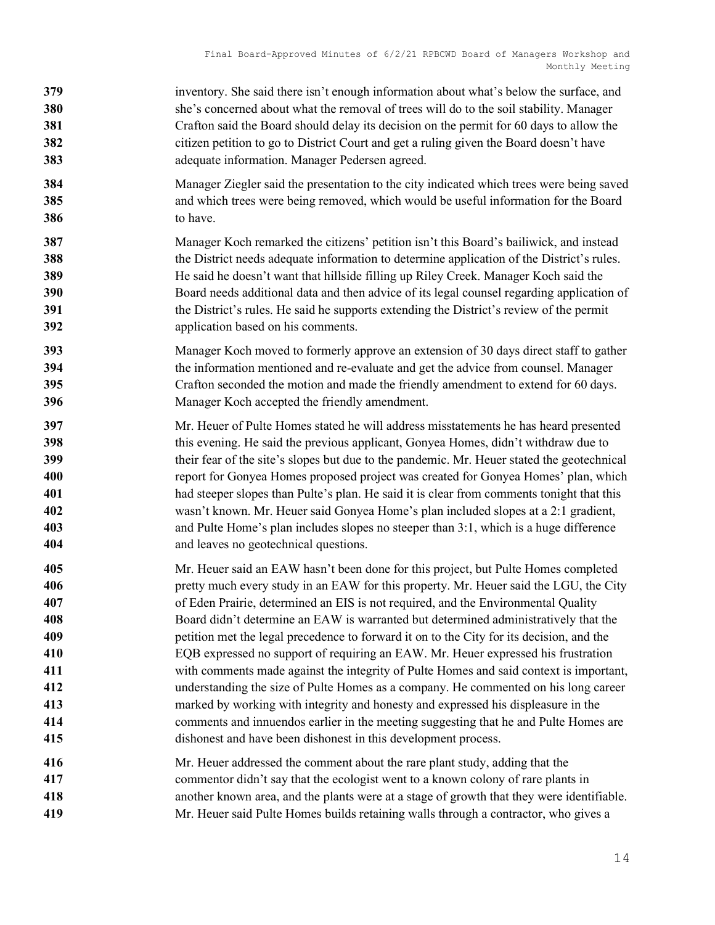- 379 inventory. She said there isn't enough information about what's below the surface, and 380 she's concerned about what the removal of trees will do to the soil stability. Manager Crafton said the Board should delay its decision on the permit for 60 days to allow the 382 citizen petition to go to District Court and get a ruling given the Board doesn't have adequate information. Manager Pedersen agreed.
- Manager Ziegler said the presentation to the city indicated which trees were being saved and which trees were being removed, which would be useful information for the Board to have.
- Manager Koch remarked the citizens' petition isn't this Board's bailiwick, and instead 388 the District needs adequate information to determine application of the District's rules. He said he doesn't want that hillside filling up Riley Creek. Manager Koch said the Board needs additional data and then advice of its legal counsel regarding application of the District's rules. He said he supports extending the District's review of the permit application based on his comments.
- Manager Koch moved to formerly approve an extension of 30 days direct staff to gather the information mentioned and re-evaluate and get the advice from counsel. Manager Crafton seconded the motion and made the friendly amendment to extend for 60 days. Manager Koch accepted the friendly amendment.
- Mr. Heuer of Pulte Homes stated he will address misstatements he has heard presented this evening. He said the previous applicant, Gonyea Homes, didn't withdraw due to their fear of the site's slopes but due to the pandemic. Mr. Heuer stated the geotechnical **report for Gonyea Homes proposed project was created for Gonyea Homes' plan, which** had steeper slopes than Pulte's plan. He said it is clear from comments tonight that this wasn't known. Mr. Heuer said Gonyea Home's plan included slopes at a 2:1 gradient, and Pulte Home's plan includes slopes no steeper than 3:1, which is a huge difference and leaves no geotechnical questions.
- Mr. Heuer said an EAW hasn't been done for this project, but Pulte Homes completed **pretty much every study in an EAW for this property. Mr. Heuer said the LGU, the City** of Eden Prairie, determined an EIS is not required, and the Environmental Quality Board didn't determine an EAW is warranted but determined administratively that the petition met the legal precedence to forward it on to the City for its decision, and the EQB expressed no support of requiring an EAW. Mr. Heuer expressed his frustration with comments made against the integrity of Pulte Homes and said context is important, understanding the size of Pulte Homes as a company. He commented on his long career marked by working with integrity and honesty and expressed his displeasure in the comments and innuendos earlier in the meeting suggesting that he and Pulte Homes are dishonest and have been dishonest in this development process.
- Mr. Heuer addressed the comment about the rare plant study, adding that the commentor didn't say that the ecologist went to a known colony of rare plants in another known area, and the plants were at a stage of growth that they were identifiable. Mr. Heuer said Pulte Homes builds retaining walls through a contractor, who gives a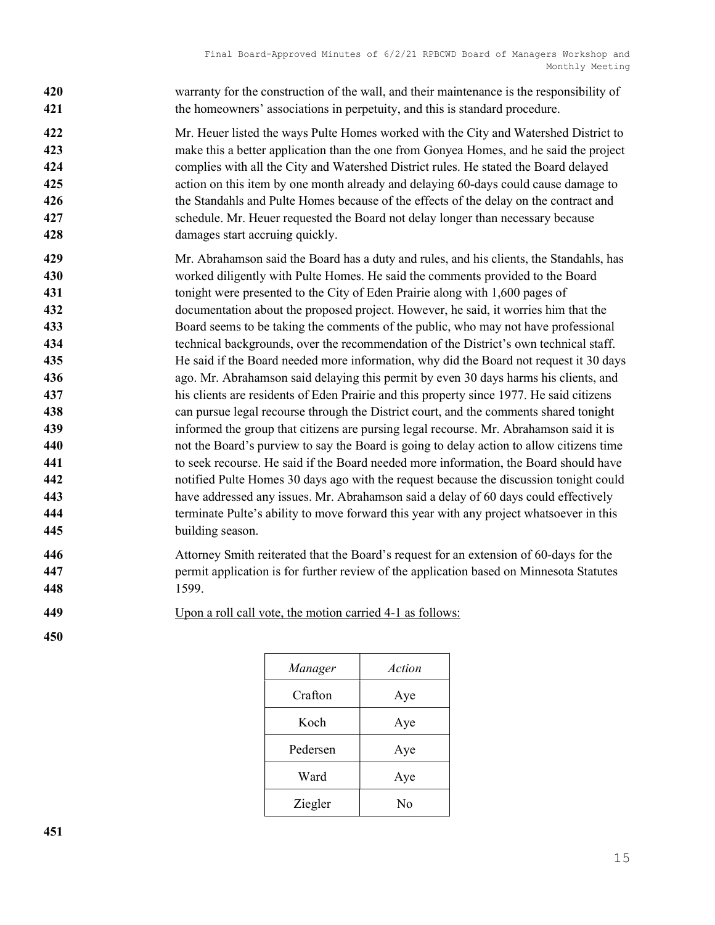| 420<br>421                                    | warranty for the construction of the wall, and their maintenance is the responsibility of<br>the homeowners' associations in perpetuity, and this is standard procedure.                                                                                                                                                                                                                                                                                                                                                                                                     |
|-----------------------------------------------|------------------------------------------------------------------------------------------------------------------------------------------------------------------------------------------------------------------------------------------------------------------------------------------------------------------------------------------------------------------------------------------------------------------------------------------------------------------------------------------------------------------------------------------------------------------------------|
| 422<br>423<br>424<br>425<br>426<br>427<br>428 | Mr. Heuer listed the ways Pulte Homes worked with the City and Watershed District to<br>make this a better application than the one from Gonyea Homes, and he said the project<br>complies with all the City and Watershed District rules. He stated the Board delayed<br>action on this item by one month already and delaying 60-days could cause damage to<br>the Standahls and Pulte Homes because of the effects of the delay on the contract and<br>schedule. Mr. Heuer requested the Board not delay longer than necessary because<br>damages start accruing quickly. |
| 429<br>430                                    | Mr. Abrahamson said the Board has a duty and rules, and his clients, the Standahls, has<br>worked diligently with Pulte Homes. He said the comments provided to the Board                                                                                                                                                                                                                                                                                                                                                                                                    |
| 431                                           | tonight were presented to the City of Eden Prairie along with 1,600 pages of                                                                                                                                                                                                                                                                                                                                                                                                                                                                                                 |
| 432                                           | documentation about the proposed project. However, he said, it worries him that the                                                                                                                                                                                                                                                                                                                                                                                                                                                                                          |
| 433                                           | Board seems to be taking the comments of the public, who may not have professional                                                                                                                                                                                                                                                                                                                                                                                                                                                                                           |
| 434<br>435                                    | technical backgrounds, over the recommendation of the District's own technical staff.                                                                                                                                                                                                                                                                                                                                                                                                                                                                                        |
| 436                                           | He said if the Board needed more information, why did the Board not request it 30 days<br>ago. Mr. Abrahamson said delaying this permit by even 30 days harms his clients, and                                                                                                                                                                                                                                                                                                                                                                                               |
| 437                                           | his clients are residents of Eden Prairie and this property since 1977. He said citizens                                                                                                                                                                                                                                                                                                                                                                                                                                                                                     |
| 438                                           | can pursue legal recourse through the District court, and the comments shared tonight                                                                                                                                                                                                                                                                                                                                                                                                                                                                                        |
| 439                                           | informed the group that citizens are pursing legal recourse. Mr. Abrahamson said it is                                                                                                                                                                                                                                                                                                                                                                                                                                                                                       |
| 440                                           | not the Board's purview to say the Board is going to delay action to allow citizens time                                                                                                                                                                                                                                                                                                                                                                                                                                                                                     |
| 441                                           | to seek recourse. He said if the Board needed more information, the Board should have                                                                                                                                                                                                                                                                                                                                                                                                                                                                                        |
| 442                                           | notified Pulte Homes 30 days ago with the request because the discussion tonight could                                                                                                                                                                                                                                                                                                                                                                                                                                                                                       |
| 443                                           | have addressed any issues. Mr. Abrahamson said a delay of 60 days could effectively                                                                                                                                                                                                                                                                                                                                                                                                                                                                                          |
| 444                                           | terminate Pulte's ability to move forward this year with any project whatsoever in this                                                                                                                                                                                                                                                                                                                                                                                                                                                                                      |
| 445                                           | building season.                                                                                                                                                                                                                                                                                                                                                                                                                                                                                                                                                             |
| 446                                           | Attorney Smith reiterated that the Board's request for an extension of 60-days for the                                                                                                                                                                                                                                                                                                                                                                                                                                                                                       |
| 447                                           | permit application is for further review of the application based on Minnesota Statutes                                                                                                                                                                                                                                                                                                                                                                                                                                                                                      |

- 1599.
- Upon a roll call vote, the motion carried 4-1 as follows:
- 

| Manager  | Action |
|----------|--------|
| Crafton  | Aye    |
| Koch     | Aye    |
| Pedersen | Aye    |
| Ward     | Aye    |
| Ziegler  | No     |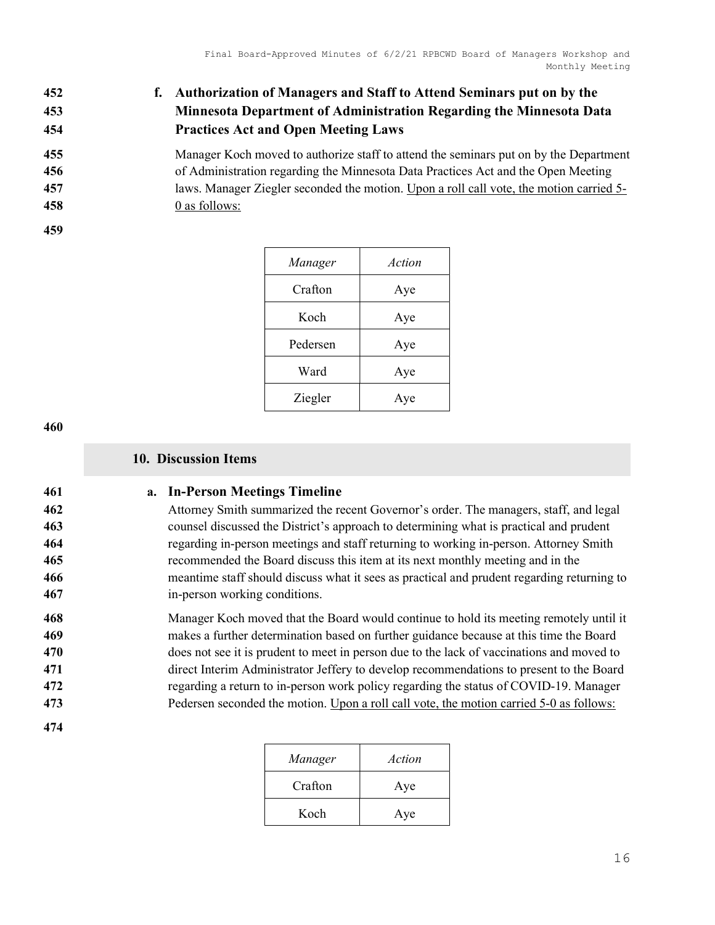# f. Authorization of Managers and Staff to Attend Seminars put on by the Minnesota Department of Administration Regarding the Minnesota Data Practices Act and Open Meeting Laws

Manager Koch moved to authorize staff to attend the seminars put on by the Department of Administration regarding the Minnesota Data Practices Act and the Open Meeting

laws. Manager Ziegler seconded the motion. Upon a roll call vote, the motion carried 5-

- 0 as follows:
- 

| Manager  | Action |
|----------|--------|
| Crafton  | Aye    |
| Koch     | Aye    |
| Pedersen | Aye    |
| Ward     | Aye    |
| Ziegler  | Aye    |

#### 10. Discussion Items

## 461 a. In-Person Meetings Timeline

Attorney Smith summarized the recent Governor's order. The managers, staff, and legal counsel discussed the District's approach to determining what is practical and prudent regarding in-person meetings and staff returning to working in-person. Attorney Smith recommended the Board discuss this item at its next monthly meeting and in the meantime staff should discuss what it sees as practical and prudent regarding returning to in-person working conditions.

Manager Koch moved that the Board would continue to hold its meeting remotely until it makes a further determination based on further guidance because at this time the Board 470 does not see it is prudent to meet in person due to the lack of vaccinations and moved to direct Interim Administrator Jeffery to develop recommendations to present to the Board regarding a return to in-person work policy regarding the status of COVID-19. Manager Pedersen seconded the motion. Upon a roll call vote, the motion carried 5-0 as follows:

| Manager | Action |
|---------|--------|
| Crafton | Aye    |
| Koch    | Aye    |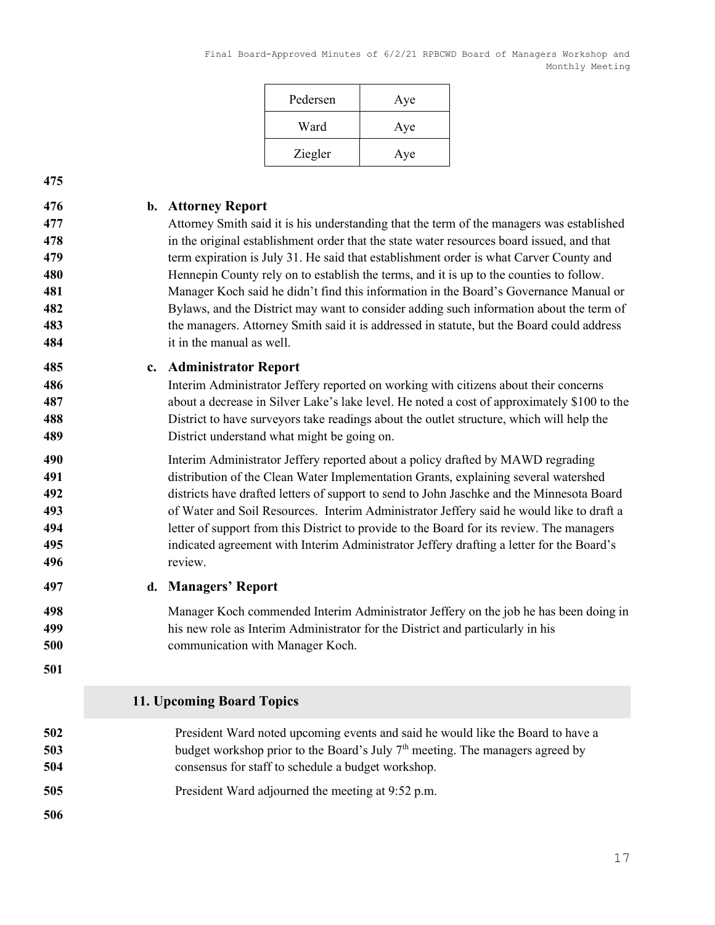| Pedersen | Aye |
|----------|-----|
| Ward     | Aye |
| Ziegler  | Aye |

#### 476 b. Attorney Report

Attorney Smith said it is his understanding that the term of the managers was established 478 in the original establishment order that the state water resources board issued, and that 479 term expiration is July 31. He said that establishment order is what Carver County and 480 Hennepin County rely on to establish the terms, and it is up to the counties to follow. Manager Koch said he didn't find this information in the Board's Governance Manual or Bylaws, and the District may want to consider adding such information about the term of 483 the managers. Attorney Smith said it is addressed in statute, but the Board could address it in the manual as well.

#### c. Administrator Report

Interim Administrator Jeffery reported on working with citizens about their concerns about a decrease in Silver Lake's lake level. He noted a cost of approximately \$100 to the District to have surveyors take readings about the outlet structure, which will help the District understand what might be going on.

Interim Administrator Jeffery reported about a policy drafted by MAWD regrading distribution of the Clean Water Implementation Grants, explaining several watershed districts have drafted letters of support to send to John Jaschke and the Minnesota Board of Water and Soil Resources. Interim Administrator Jeffery said he would like to draft a letter of support from this District to provide to the Board for its review. The managers indicated agreement with Interim Administrator Jeffery drafting a letter for the Board's review.

- 497 d. Managers' Report
- Manager Koch commended Interim Administrator Jeffery on the job he has been doing in his new role as Interim Administrator for the District and particularly in his communication with Manager Koch.
- 

## 11. Upcoming Board Topics

- President Ward noted upcoming events and said he would like the Board to have a 503 budget workshop prior to the Board's July  $7<sup>th</sup>$  meeting. The managers agreed by consensus for staff to schedule a budget workshop.
- President Ward adjourned the meeting at 9:52 p.m.
-